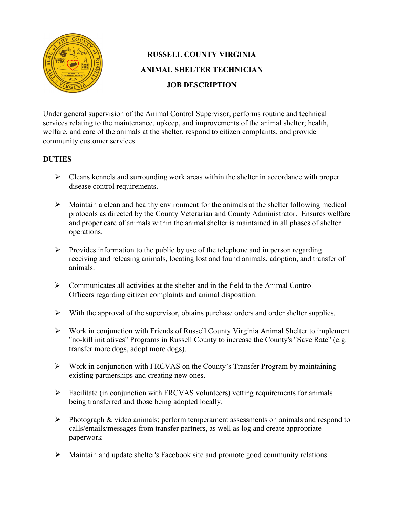

# **RUSSELL COUNTY VIRGINIA ANIMAL SHELTER TECHNICIAN JOB DESCRIPTION**

Under general supervision of the Animal Control Supervisor, performs routine and technical services relating to the maintenance, upkeep, and improvements of the animal shelter; health, welfare, and care of the animals at the shelter, respond to citizen complaints, and provide community customer services.

### **DUTIES**

- $\triangleright$  Cleans kennels and surrounding work areas within the shelter in accordance with proper disease control requirements.
- $\triangleright$  Maintain a clean and healthy environment for the animals at the shelter following medical protocols as directed by the County Veterarian and County Administrator. Ensures welfare and proper care of animals within the animal shelter is maintained in all phases of shelter operations.
- $\triangleright$  Provides information to the public by use of the telephone and in person regarding receiving and releasing animals, locating lost and found animals, adoption, and transfer of animals.
- $\triangleright$  Communicates all activities at the shelter and in the field to the Animal Control Officers regarding citizen complaints and animal disposition.
- $\triangleright$  With the approval of the supervisor, obtains purchase orders and order shelter supplies.
- Work in conjunction with Friends of Russell County Virginia Animal Shelter to implement "no-kill initiatives" Programs in Russell County to increase the County's "Save Rate" (e.g. transfer more dogs, adopt more dogs).
- $\triangleright$  Work in conjunction with FRCVAS on the County's Transfer Program by maintaining existing partnerships and creating new ones.
- $\triangleright$  Facilitate (in conjunction with FRCVAS volunteers) vetting requirements for animals being transferred and those being adopted locally.
- $\triangleright$  Photograph & video animals; perform temperament assessments on animals and respond to calls/emails/messages from transfer partners, as well as log and create appropriate paperwork
- Maintain and update shelter's Facebook site and promote good community relations.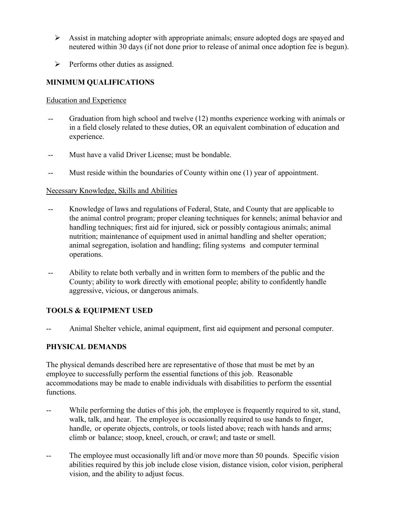- $\triangleright$  Assist in matching adopter with appropriate animals; ensure adopted dogs are spayed and neutered within 30 days (if not done prior to release of animal once adoption fee is begun).
- $\triangleright$  Performs other duties as assigned.

## **MINIMUM QUALIFICATIONS**

#### Education and Experience

- Graduation from high school and twelve  $(12)$  months experience working with animals or in a field closely related to these duties, OR an equivalent combination of education and experience.
- -- Must have a valid Driver License; must be bondable.
- -- Must reside within the boundaries of County within one (1) year of appointment.

### Necessary Knowledge, Skills and Abilities

- -- Knowledge of laws and regulations of Federal, State, and County that are applicable to the animal control program; proper cleaning techniques for kennels; animal behavior and handling techniques; first aid for injured, sick or possibly contagious animals; animal nutrition; maintenance of equipment used in animal handling and shelter operation; animal segregation, isolation and handling; filing systems and computer terminal operations.
- -- Ability to relate both verbally and in written form to members of the public and the County; ability to work directly with emotional people; ability to confidently handle aggressive, vicious, or dangerous animals.

### **TOOLS & EQUIPMENT USED**

Animal Shelter vehicle, animal equipment, first aid equipment and personal computer.

### **PHYSICAL DEMANDS**

The physical demands described here are representative of those that must be met by an employee to successfully perform the essential functions of this job. Reasonable accommodations may be made to enable individuals with disabilities to perform the essential functions.

- -- While performing the duties of this job, the employee is frequently required to sit, stand, walk, talk, and hear. The employee is occasionally required to use hands to finger, handle, or operate objects, controls, or tools listed above; reach with hands and arms; climb or balance; stoop, kneel, crouch, or crawl; and taste or smell.
- -- The employee must occasionally lift and/or move more than 50 pounds. Specific vision abilities required by this job include close vision, distance vision, color vision, peripheral vision, and the ability to adjust focus.